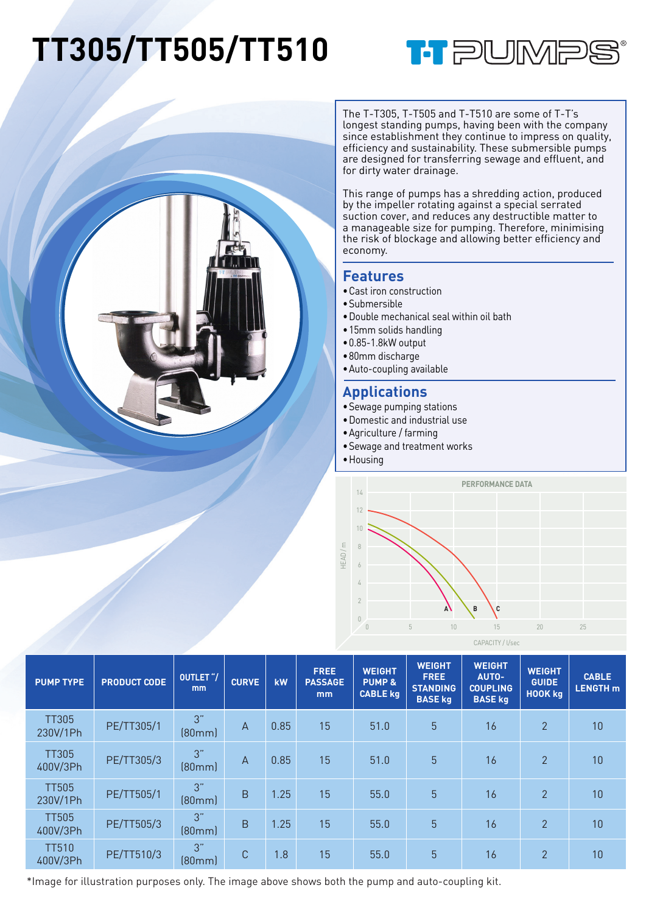## **TT305/TT505/TT510**





The T-T305, T-T505 and T-T510 are some of T-T's longest standing pumps, having been with the company since establishment they continue to impress on quality, efficiency and sustainability. These submersible pumps are designed for transferring sewage and effluent, and for dirty water drainage.

This range of pumps has a shredding action, produced by the impeller rotating against a special serrated suction cover, and reduces any destructible matter to a manageable size for pumping. Therefore, minimising the risk of blockage and allowing better efficiency and economy.

## **Features**

- •Cast iron construction
- •Submersible
- •Double mechanical seal within oil bath
- •15mm solids handling
- •0.85-1.8kW output
- •80mm discharge
- •Auto-coupling available

## **Applications**

- •Sewage pumping stations
- •Domestic and industrial use
- •Agriculture / farming
- •Sewage and treatment works
- •Housing



| <b>PUMP TYPE</b>         | <b>PRODUCT CODE</b> | OUTLET "/<br><sub>mm</sub> | <b>CURVE</b>   | kW   | <b>FREE</b><br><b>PASSAGE</b><br>mm | <b>WEIGHT</b><br><b>PUMP &amp;</b><br><b>CABLE kg</b> | <b>WEIGHT</b><br><b>FREE</b><br><b>STANDING</b><br><b>BASE kg</b> | <b>WEIGHT</b><br><b>AUTO-</b><br><b>COUPLING</b><br><b>BASE kg</b> | <b>WEIGHT</b><br><b>GUIDE</b><br><b>HOOK kg</b> | <b>CABLE</b><br><b>LENGTH</b> m |
|--------------------------|---------------------|----------------------------|----------------|------|-------------------------------------|-------------------------------------------------------|-------------------------------------------------------------------|--------------------------------------------------------------------|-------------------------------------------------|---------------------------------|
| <b>TT305</b><br>230V/1Ph | PE/TT305/1          | 3"<br>[80mm]               | $\overline{A}$ | 0.85 | 15                                  | 51.0                                                  | 5 <sup>5</sup>                                                    | 16                                                                 | $\overline{2}$                                  | 10                              |
| <b>TT305</b><br>400V/3Ph | PE/TT305/3          | 3"<br>[80mm]               | $\mathsf{A}$   | 0.85 | 15                                  | 51.0                                                  | 5 <sup>5</sup>                                                    | 16                                                                 | 2                                               | 10                              |
| <b>TT505</b><br>230V/1Ph | PE/TT505/1          | 3"<br>[80mm]               | B              | 1.25 | 15                                  | 55.0                                                  | 5 <sup>5</sup>                                                    | 16                                                                 | $\mathfrak{p}$                                  | 10                              |
| <b>TT505</b><br>400V/3Ph | PE/TT505/3          | 3"<br>[80mm]               | B              | 1.25 | 15                                  | 55.0                                                  | 5 <sup>5</sup>                                                    | 16                                                                 | $\overline{2}$                                  | 10                              |
| <b>TT510</b><br>400V/3Ph | PE/TT510/3          | 3"<br>[80mm]               | C              | 1.8  | 15                                  | 55.0                                                  | 5                                                                 | 16                                                                 | $\overline{2}$                                  | 10                              |

\*Image for illustration purposes only. The image above shows both the pump and auto-coupling kit.